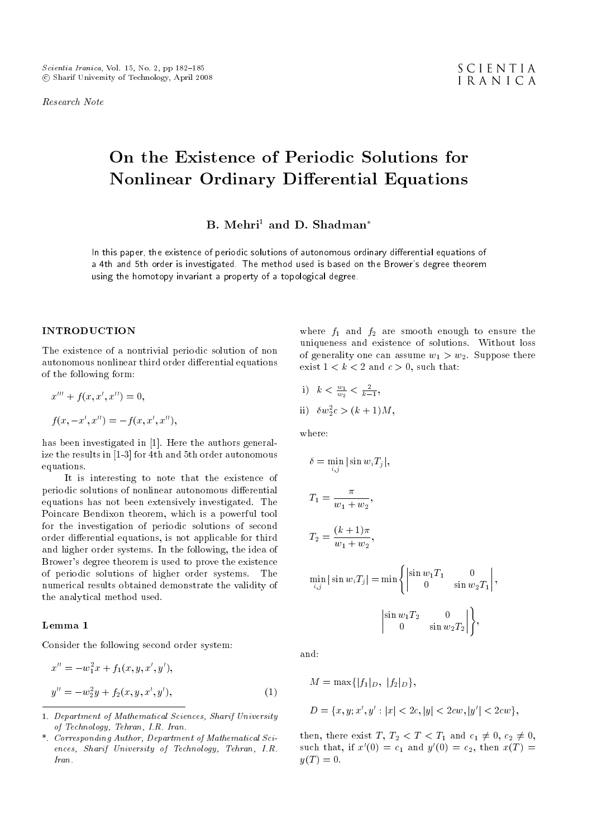Research Note

# On the Existence of Periodic Solutions for Nonlinear Ordinary Differential Equations

 $B.$  Mehri<sup>1</sup> and D. Shadman<sup>\*</sup>

In this paper, the existence of periodic solutions of autonomous ordinary differential equations of a 4th and 5th order is investigated. The method used is based on the Brower's degree theorem using the homotopy invariant a property of a topological degree.

## INTRODUCTION

The existence of a nontrivial periodic solution of non autonomous nonlinear third order differential equations of the following form:

$$
x''' + f(x, x', x'') = 0,
$$
  

$$
f(x, -x', x'') = -f(x, x', x''),
$$

has been investigated in [1]. Here the authors generalize the results in [1-3] for 4th and 5th order autonomous equations.

It is interesting to note that the existence of periodic solutions of nonlinear autonomous differential equations has not been extensively investigated. The Poincare Bendixon theorem, which is a powerful tool for the investigation of periodic solutions of second order differential equations, is not applicable for third and higher order systems. In the following, the idea of Brower's degree theorem is used to prove the existence of periodic solutions of higher order systems. The numerical results obtained demonstrate the validity of the analytical method used.

## Lemma 1

Consider the following second order system:

$$
x'' = -w_1^2 x + f_1(x, y, x', y'),
$$
  
\n
$$
y'' = -w_2^2 y + f_2(x, y, x', y'),
$$
\n(1)

where  $f_1$  and  $f_2$  are smooth enough to ensure the uniqueness and existence of solutions. Without loss of generality one can assume  $w_1 > w_2$ . Suppose there exist  $1 < k < 2$  and  $c > 0$ , such that:

i)  $k < \frac{w_1}{w_2} < \frac{2}{k-1}$ , ii)  $\delta w_2^2 c > (k+1)M,$ 

where:

$$
\delta = \min_{i,j} |\sin w_i T_j|,
$$
  
\n
$$
T_1 = \frac{\pi}{w_1 + w_2},
$$
  
\n
$$
T_2 = \frac{(k+1)\pi}{w_1 + w_2},
$$
  
\n
$$
\min_{i,j} |\sin w_i T_j| = \min \begin{cases} \sin w_1 T_1 & 0 \\ 0 & \sin w_2 T_1 \end{cases},
$$
  
\n
$$
\begin{vmatrix} \sin w_1 T_2 & 0 \\ 0 & \sin w_2 T_2 \end{vmatrix},
$$

and:

$$
M = \max\{|f_1|_D, |f_2|_D\},\
$$

$$
D=\{x,y;x',y':|x|<2c,|y|<2cw,|y'|<2cw\},
$$

then, there exist T,  $T_2 < T < T_1$  and  $c_1 \neq 0$ ,  $c_2 \neq 0$ , such that, if  $x'(0) = c_1$  and  $y'(0) = c_2$ , then  $x(T) =$  $y(T) = 0.$ 

<sup>1.</sup> Department of Mathematical Sciences, Sharif University of Technology, Tehran, I.R. Iran.

<sup>\*.</sup> Corresponding Author, Department of Mathematical Sciences, Sharif University of Technology, Tehran, I.R. Iran.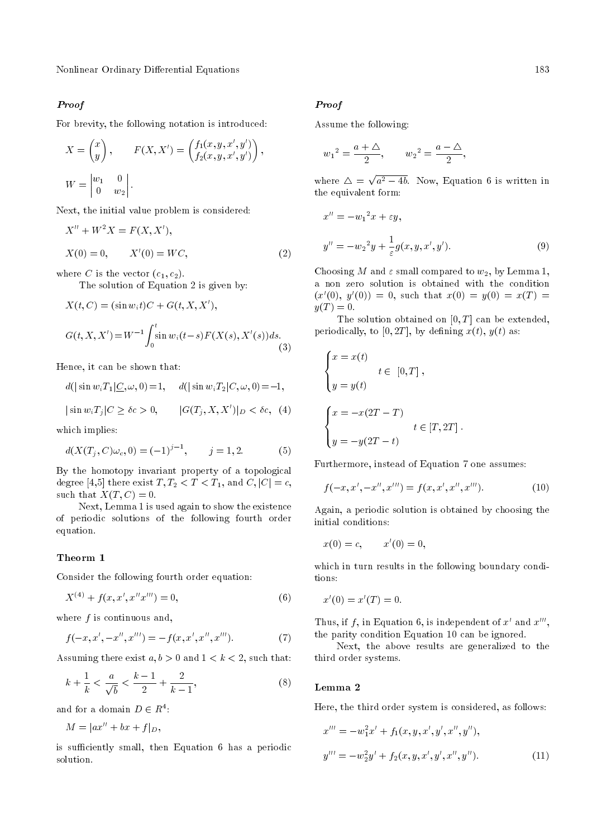## Proof

For brevity, the following notation is introduced:

$$
X = \begin{pmatrix} x \\ y \end{pmatrix}, \qquad F(X, X') = \begin{pmatrix} f_1(x, y, x', y') \\ f_2(x, y, x', y') \end{pmatrix},
$$

$$
W = \begin{vmatrix} w_1 & 0 \\ 0 & w_2 \end{vmatrix}.
$$

Next, the initial value problem is considered:

$$
X'' + W^2 X = F(X, X'),
$$
  
\n
$$
X(0) = 0, \qquad X'(0) = WC,
$$
\n(2)

where C is the vector  $(c_1, c_2)$ .

The solution of Equation 2 is given by:

$$
X(t, C) = (\sin w_i t)C + G(t, X, X'),
$$
  
\n
$$
G(t, X, X') = W^{-1} \int_0^t \sin w_i (t - s) F(X(s), X'(s)) ds.
$$
\n(3)

Hence, it can be shown that:

$$
d(|\sin w_i T_1| \leq, \omega, 0) = 1, \quad d(|\sin w_i T_2| C, \omega, 0) = -1,
$$
  

$$
|\sin w_i T_j| C \geq \delta c > 0, \quad |G(T_j, X, X')|_{D} < \delta c, \quad (4)
$$

which implies:

$$
d(X(T_j, C)\omega_c, 0) = (-1)^{j-1}, \qquad j = 1, 2. \tag{5}
$$

By the homotopy invariant property of a topological degree [4,5] there exist  $T, T_2 < T < T_1$ , and  $C, |C| = c$ , such that  $X(T, C) = 0$ .

Next, Lemma 1 is used again to show the existence of periodic solutions of the following fourth order equation.

#### Theorm 1

Consider the following fourth order equation:

$$
X^{(4)} + f(x, x', x''x''') = 0,
$$
\n(6)

where  $f$  is continuous and,

$$
f(-x, x', -x'', x''') = -f(x, x', x'', x''').
$$
 (7)

Assuming there exist  $a, b > 0$  and  $1 < k < 2$ , such that:

$$
k + \frac{1}{k} < \frac{a}{\sqrt{b}} < \frac{k-1}{2} + \frac{2}{k-1},\tag{8}
$$

and for a domain  $D \in R^4$ :

$$
M = |ax'' + bx + f|_D,
$$

is sufficiently small, then Equation 6 has a periodic solution.

#### Proof

Assume the following:

$$
w_1^2 = \frac{a + \Delta}{2}
$$
,  $w_2^2 = \frac{a - \Delta}{2}$ ,

where  $\Delta =$ p  $a^2 - 4b$ . Now, Equation 6 is written in the equivalent form:

$$
x'' = -w_1^2 x + \varepsilon y,
$$
  
\n
$$
y'' = -w_2^2 y + \frac{1}{\varepsilon} g(x, y, x', y').
$$
\n(9)

Choosing M and  $\varepsilon$  small compared to  $w_2$ , by Lemma 1, a non zero solution is obtained with the condition  $(x'(0), y'(0)) = 0$ , such that  $x(0) = y(0) = x(T) = 0$  $y(T)=0.$ 

The solution obtained on  $[0, T]$  can be extended, periodically, to  $[0, 2T]$ , by defining  $x(t)$ ,  $y(t)$  as:

$$
\begin{cases}\nx = x(t) \\
y = y(t) \\
\end{cases}
$$
\n
$$
t \in [0, T],
$$
\n
$$
\begin{cases}\nx = -x(2T - T) \\
t \in [T, 2T].\n\end{cases}
$$

Furthermore, instead of Equation 7 one assumes:

$$
f(-x, x', -x'', x''') = f(x, x', x'', x''').
$$
 (10)

Again, a periodic solution is obtained by choosing the initial conditions:

$$
x(0) = c, \qquad x'(0) = 0,
$$

which in turn results in the following boundary conditions:

$$
x'(0) = x'(T) = 0.
$$

Thus, if  $f$ , in Equation 6, is independent of  $x'$  and  $x'''$ , the parity condition Equation 10 can be ignored.

Next, the above results are generalized to the third order systems.

#### Lemma 2

Here, the third order system is considered, as follows:

$$
x''' = -w_1^2 x' + f_1(x, y, x', y', x'', y''),
$$
  

$$
y''' = -w_2^2 y' + f_2(x, y, x', y', x'', y'').
$$
 (11)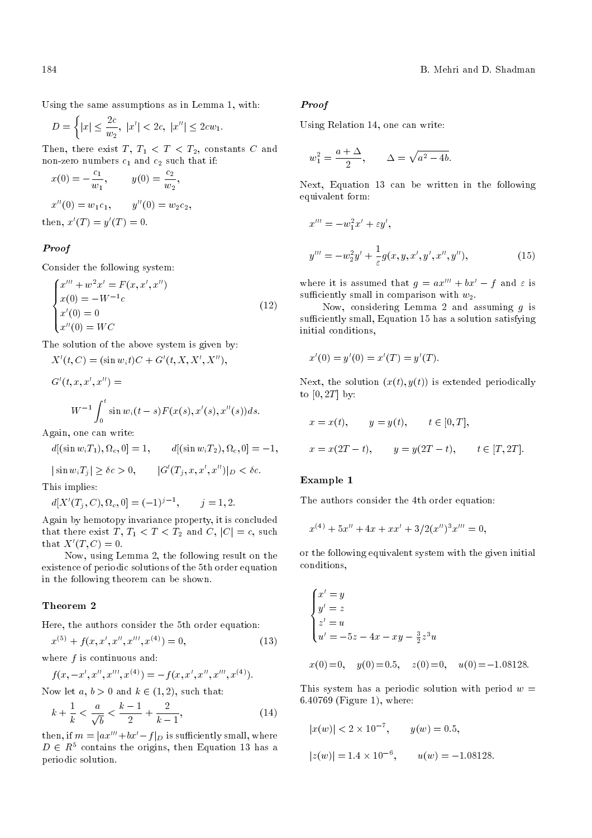Using the same assumptions as in Lemma 1, with:

$$
D = \left\{ |x| \le \frac{2c}{w_2}, \ |x'| < 2c, \ |x''| \le 2cw_1. \right\}
$$

Then, there exist  $T, T_1 < T < T_2$ , constants C and non-zero numbers  $c_1$  and  $c_2$  such that if:

$$
x(0) = -\frac{c_1}{w_1}, \qquad y(0) = \frac{c_2}{w_2},
$$
  

$$
x''(0) = w_1 c_1, \qquad y''(0) = w_2 c_2,
$$
  
then, 
$$
x'(T) = y'(T) = 0.
$$

# Proof

Consider the following system:

$$
\begin{cases}\nx'''' + w^2 x' = F(x, x', x'') \\
x(0) = -W^{-1}c \\
x'(0) = 0 \\
x''(0) = WC\n\end{cases}
$$
\n(12)

The solution of the above system is given by:

 $X'(t, C) = (\sin w_i t)C + G'(t, X, X', X''),$ 

$$
G'(t, x, x', x'') =
$$
  
\n
$$
W^{-1} \int_0^t \sin w_i(t - s) F(x(s), x'(s), x''(s)) ds.
$$

Again, one can write:

 $d[(\sin w_i T_1), \Omega_c, 0] = 1, \qquad d[(\sin w_i T_2), \Omega_c, 0] = -1,$ 

 $|\sin w_i T_j| \ge \delta c > 0, \qquad |G'(T_j, x, x', x'')|_D < \delta c.$ 

This implies:

 $d[X'(T_j, C), \Omega_c, 0] = (-1)^{j-1}, \quad j = 1, 2.$ 

Again by hemotopy invariance property, it is concluded that there exist T,  $T_1 < T < T_2$  and C,  $|C| = c$ , such that  $X'(T, C) = 0$ .

Now, using Lemma 2, the following result on the existence of periodic solutions of the 5th order equation in the following theorem can be shown.

### Theorem 2

Here, the authors consider the 5th order equation:

$$
x^{(5)} + f(x, x', x'', x''', x^{(4)}) = 0,
$$
\n(13)

where  $f$  is continuous and:

$$
f(x, -x', x'', x''', x^{(4)}) = -f(x, x', x'', x''', x^{(4)}).
$$

Now let a,  $b > 0$  and  $k \in (1, 2)$ , such that:

$$
k + \frac{1}{k} < \frac{a}{\sqrt{b}} < \frac{k-1}{2} + \frac{2}{k-1},\tag{14}
$$

then, if  $m = |ax^{\prime\prime\prime}+bx^{\prime}-f|_{D}$  is sufficiently small, where  $D \in R<sup>5</sup>$  contains the origins, then Equation 13 has a periodic solution.

#### Proof

Using Relation 14, one can write:

$$
w_1^2 = \frac{a + \Delta}{2}, \qquad \Delta = \sqrt{a^2 - 4b}.
$$

Next, Equation 13 can be written in the following equivalent form:

$$
x''' = -w_1^2 x' + \varepsilon y',
$$
  
\n
$$
y''' = -w_2^2 y' + \frac{1}{\varepsilon} g(x, y, x', y', x'', y''),
$$
\n(15)

where it is assumed that  $g = ax''' + bx' - f$  and  $\varepsilon$  is sufficiently small in comparison with  $w_2$ .

Now, considering Lemma 2 and assuming  $q$  is sufficiently small, Equation 15 has a solution satisfying initial conditions,

$$
x'(0) = y'(0) = x'(T) = y'(T).
$$

Next, the solution  $(x(t), y(t))$  is extended periodically to  $[0, 2T]$  by:

$$
x = x(t),
$$
  $y = y(t),$   $t \in [0, T],$   
 $x = x(2T - t),$   $y = y(2T - t),$   $t \in [T, 2T].$ 

#### Example 1

The authors consider the 4th order equation:

$$
x^{(4)} + 5x'' + 4x + xx' + 3/2(x'')^3 x''' = 0,
$$

or the following equivalent system with the given initial conditions,

$$
\begin{cases}\nx' = y \\
y' = z \\
z' = u \\
u' = -5z - 4x - xy - \frac{3}{2}z^3u\n\end{cases}
$$

$$
x(0) = 0
$$
,  $y(0) = 0.5$ ,  $z(0) = 0$ ,  $u(0) = -1.08128$ .

This system has a periodic solution with period  $w =$ 6:40769 (Figure 1), where:

$$
|x(w)| < 2 \times 10^{-7}
$$
,  $y(w) = 0.5$ ,  
 $|z(w)| = 1.4 \times 10^{-6}$ ,  $u(w) = -1.08128$ .